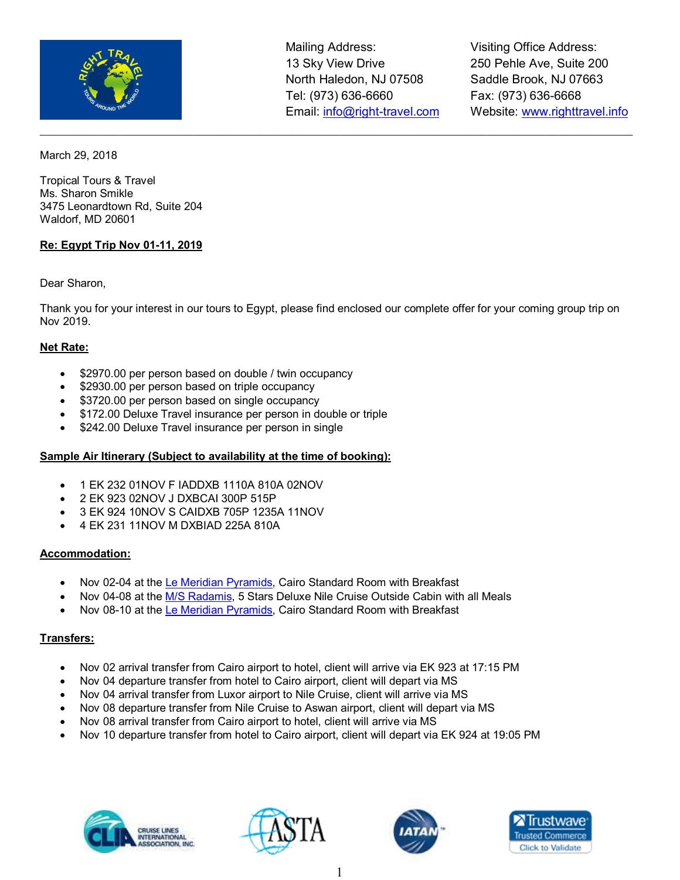

 $\_$  , and the set of the set of the set of the set of the set of the set of the set of the set of the set of the set of the set of the set of the set of the set of the set of the set of the set of the set of the set of th

Visiting Office Address: 250 Pehle Ave, Suite 200 Saddle Brook, NJ 07663 Fax: (973) 636-6668 Website: www.righttravel.info

March 29, 2018

Tropical Tours & Travel Ms. Sharon Smikle 3475 Leonardtown Rd, Suite 204 Waldorf, MD 20601

#### **Re: Egypt Trip Nov 01-11, 2019**

Dear Sharon,

Thank you for your interest in our tours to Egypt, please find enclosed our complete offer for your coming group trip on Nov 2019.

#### **Net Rate:**

- \$2970.00 per person based on double / twin occupancy
- \$2930.00 per person based on triple occupancy
- \$3720.00 per person based on single occupancy
- \$172.00 Deluxe Travel insurance per person in double or triple
- \$242.00 Deluxe Travel insurance per person in single

#### **Sample Air Itinerary (Subject to availability at the time of booking):**

- 1 EK 232 01NOV F IADDXB 1110A 810A 02NOV
- 2 EK 923 02NOV J DXBCAI 300P 515P
- 3 EK 924 10NOV S CAIDXB 705P 1235A 11NOV
- 4 EK 231 11NOV M DXBIAD 225A 810A

#### **Accommodation:**

- Nov 02-04 at the Le Meridian Pyramids, Cairo Standard Room with Breakfast
- Nov 04-08 at the M/S Radamis, 5 Stars Deluxe Nile Cruise Outside Cabin with all Meals
- Nov 08-10 at the Le Meridian Pyramids, Cairo Standard Room with Breakfast

#### **Transfers:**

- Nov 02 arrival transfer from Cairo airport to hotel, client will arrive via EK 923 at 17:15 PM
- Nov 04 departure transfer from hotel to Cairo airport, client will depart via MS
- Nov 04 arrival transfer from Luxor airport to Nile Cruise, client will arrive via MS
- Nov 08 departure transfer from Nile Cruise to Aswan airport, client will depart via MS
- Nov 08 arrival transfer from Cairo airport to hotel, client will arrive via MS
- Nov 10 departure transfer from hotel to Cairo airport, client will depart via EK 924 at 19:05 PM







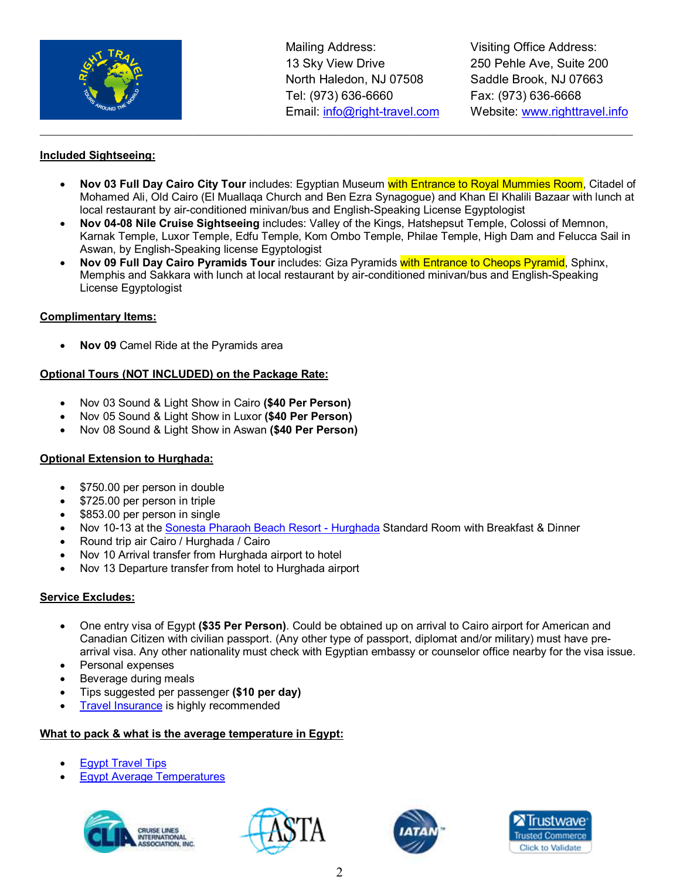

Visiting Office Address: 250 Pehle Ave, Suite 200 Saddle Brook, NJ 07663 Fax: (973) 636-6668 Website: www.righttravel.info

#### **Included Sightseeing:**

• **Nov 03 Full Day Cairo City Tour** includes: Egyptian Museum with Entrance to Royal Mummies Room, Citadel of Mohamed Ali, Old Cairo (El Muallaqa Church and Ben Ezra Synagogue) and Khan El Khalili Bazaar with lunch at local restaurant by air-conditioned minivan/bus and English-Speaking License Egyptologist

 $\_$  , and the set of the set of the set of the set of the set of the set of the set of the set of the set of the set of the set of the set of the set of the set of the set of the set of the set of the set of the set of th

- **Nov 04-08 Nile Cruise Sightseeing** includes: Valley of the Kings, Hatshepsut Temple, Colossi of Memnon, Karnak Temple, Luxor Temple, Edfu Temple, Kom Ombo Temple, Philae Temple, High Dam and Felucca Sail in Aswan, by English-Speaking license Egyptologist
- **Nov 09 Full Day Cairo Pyramids Tour** includes: Giza Pyramids with Entrance to Cheops Pyramid, Sphinx, Memphis and Sakkara with lunch at local restaurant by air-conditioned minivan/bus and English-Speaking License Egyptologist

#### **Complimentary Items:**

• **Nov 09** Camel Ride at the Pyramids area

#### **Optional Tours (NOT INCLUDED) on the Package Rate:**

- Nov 03 Sound & Light Show in Cairo **(\$40 Per Person)**
- Nov 05 Sound & Light Show in Luxor **(\$40 Per Person)**
- Nov 08 Sound & Light Show in Aswan **(\$40 Per Person)**

#### **Optional Extension to Hurghada:**

- \$750.00 per person in double
- \$725.00 per person in triple
- \$853.00 per person in single
- Nov 10-13 at the Sonesta Pharaoh Beach Resort Hurghada Standard Room with Breakfast & Dinner
- Round trip air Cairo / Hurghada / Cairo
- Nov 10 Arrival transfer from Hurghada airport to hotel
- Nov 13 Departure transfer from hotel to Hurghada airport

#### **Service Excludes:**

- One entry visa of Egypt **(\$35 Per Person)**. Could be obtained up on arrival to Cairo airport for American and Canadian Citizen with civilian passport. (Any other type of passport, diplomat and/or military) must have prearrival visa. Any other nationality must check with Egyptian embassy or counselor office nearby for the visa issue.
- Personal expenses
- Beverage during meals
- Tips suggested per passenger **(\$10 per day)**
- Travel Insurance is highly recommended

#### **What to pack & what is the average temperature in Egypt:**

- **Egypt Travel Tips**
- Egypt Average Temperatures







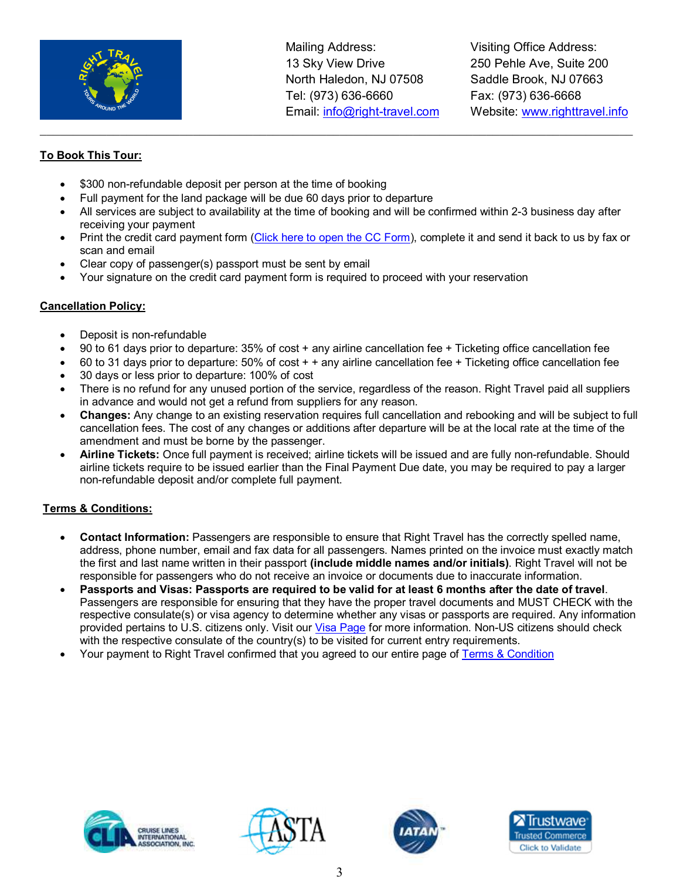

Visiting Office Address: 250 Pehle Ave, Suite 200 Saddle Brook, NJ 07663 Fax: (973) 636-6668 Website: www.righttravel.info

## **To Book This Tour:**

- \$300 non-refundable deposit per person at the time of booking
- Full payment for the land package will be due 60 days prior to departure
- All services are subject to availability at the time of booking and will be confirmed within 2-3 business day after receiving your payment

 $\_$  , and the set of the set of the set of the set of the set of the set of the set of the set of the set of the set of the set of the set of the set of the set of the set of the set of the set of the set of the set of th

- Print the credit card payment form (Click here to open the CC Form), complete it and send it back to us by fax or scan and email
- Clear copy of passenger(s) passport must be sent by email
- Your signature on the credit card payment form is required to proceed with your reservation

## **Cancellation Policy:**

- Deposit is non-refundable
- 90 to 61 days prior to departure: 35% of cost + any airline cancellation fee + Ticketing office cancellation fee
- 60 to 31 days prior to departure: 50% of cost + + any airline cancellation fee + Ticketing office cancellation fee
- 30 days or less prior to departure: 100% of cost
- There is no refund for any unused portion of the service, regardless of the reason. Right Travel paid all suppliers in advance and would not get a refund from suppliers for any reason.
- **Changes:** Any change to an existing reservation requires full cancellation and rebooking and will be subject to full cancellation fees. The cost of any changes or additions after departure will be at the local rate at the time of the amendment and must be borne by the passenger.
- **Airline Tickets:** Once full payment is received; airline tickets will be issued and are fully non-refundable. Should airline tickets require to be issued earlier than the Final Payment Due date, you may be required to pay a larger non-refundable deposit and/or complete full payment.

## **Terms & Conditions:**

- **Contact Information:** Passengers are responsible to ensure that Right Travel has the correctly spelled name, address, phone number, email and fax data for all passengers. Names printed on the invoice must exactly match the first and last name written in their passport **(include middle names and/or initials)**. Right Travel will not be responsible for passengers who do not receive an invoice or documents due to inaccurate information.
- **Passports and Visas: Passports are required to be valid for at least 6 months after the date of travel**. Passengers are responsible for ensuring that they have the proper travel documents and MUST CHECK with the respective consulate(s) or visa agency to determine whether any visas or passports are required. Any information provided pertains to U.S. citizens only. Visit our Visa Page for more information. Non-US citizens should check with the respective consulate of the country(s) to be visited for current entry requirements.
- Your payment to Right Travel confirmed that you agreed to our entire page of Terms & Condition







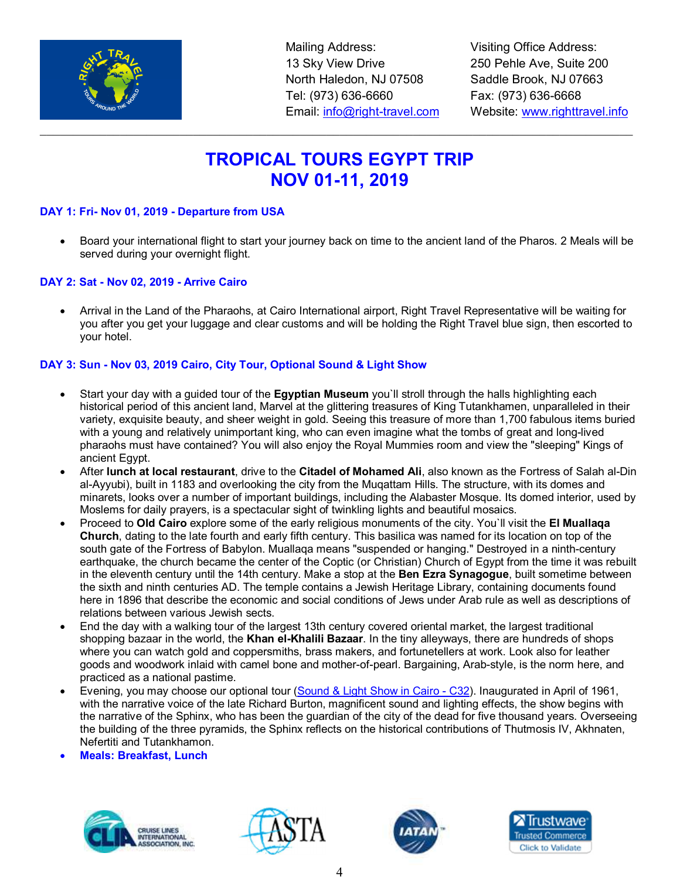

Visiting Office Address: 250 Pehle Ave, Suite 200 Saddle Brook, NJ 07663 Fax: (973) 636-6668 Website: www.righttravel.info

# **TROPICAL TOURS EGYPT TRIP NOV 01-11, 2019**

 $\_$  , and the set of the set of the set of the set of the set of the set of the set of the set of the set of the set of the set of the set of the set of the set of the set of the set of the set of the set of the set of th

#### **DAY 1: Fri- Nov 01, 2019 - Departure from USA**

• Board your international flight to start your journey back on time to the ancient land of the Pharos. 2 Meals will be served during your overnight flight.

#### **DAY 2: Sat - Nov 02, 2019 - Arrive Cairo**

• Arrival in the Land of the Pharaohs, at Cairo International airport, Right Travel Representative will be waiting for you after you get your luggage and clear customs and will be holding the Right Travel blue sign, then escorted to your hotel.

#### **DAY 3: Sun - Nov 03, 2019 Cairo, City Tour, Optional Sound & Light Show**

- Start your day with a guided tour of the **Egyptian Museum** you`ll stroll through the halls highlighting each historical period of this ancient land, Marvel at the glittering treasures of King Tutankhamen, unparalleled in their variety, exquisite beauty, and sheer weight in gold. Seeing this treasure of more than 1,700 fabulous items buried with a young and relatively unimportant king, who can even imagine what the tombs of great and long-lived pharaohs must have contained? You will also enjoy the Royal Mummies room and view the "sleeping" Kings of ancient Egypt.
- After **lunch at local restaurant**, drive to the **Citadel of Mohamed Ali**, also known as the Fortress of Salah al-Din al-Ayyubi), built in 1183 and overlooking the city from the Muqattam Hills. The structure, with its domes and minarets, looks over a number of important buildings, including the Alabaster Mosque. Its domed interior, used by Moslems for daily prayers, is a spectacular sight of twinkling lights and beautiful mosaics.
- Proceed to **Old Cairo** explore some of the early religious monuments of the city. You`ll visit the **El Muallaqa Church**, dating to the late fourth and early fifth century. This basilica was named for its location on top of the south gate of the Fortress of Babylon. Muallaqa means "suspended or hanging." Destroyed in a ninth-century earthquake, the church became the center of the Coptic (or Christian) Church of Egypt from the time it was rebuilt in the eleventh century until the 14th century. Make a stop at the **Ben Ezra Synagogue**, built sometime between the sixth and ninth centuries AD. The temple contains a Jewish Heritage Library, containing documents found here in 1896 that describe the economic and social conditions of Jews under Arab rule as well as descriptions of relations between various Jewish sects.
- End the day with a walking tour of the largest 13th century covered oriental market, the largest traditional shopping bazaar in the world, the **Khan el-Khalili Bazaar**. In the tiny alleyways, there are hundreds of shops where you can watch gold and coppersmiths, brass makers, and fortunetellers at work. Look also for leather goods and woodwork inlaid with camel bone and mother-of-pearl. Bargaining, Arab-style, is the norm here, and practiced as a national pastime.
- Evening, you may choose our optional tour (Sound & Light Show in Cairo C32). Inaugurated in April of 1961, with the narrative voice of the late Richard Burton, magnificent sound and lighting effects, the show begins with the narrative of the Sphinx, who has been the guardian of the city of the dead for five thousand years. Overseeing the building of the three pyramids, the Sphinx reflects on the historical contributions of Thutmosis IV, Akhnaten, Nefertiti and Tutankhamon.
- **Meals: Breakfast, Lunch**







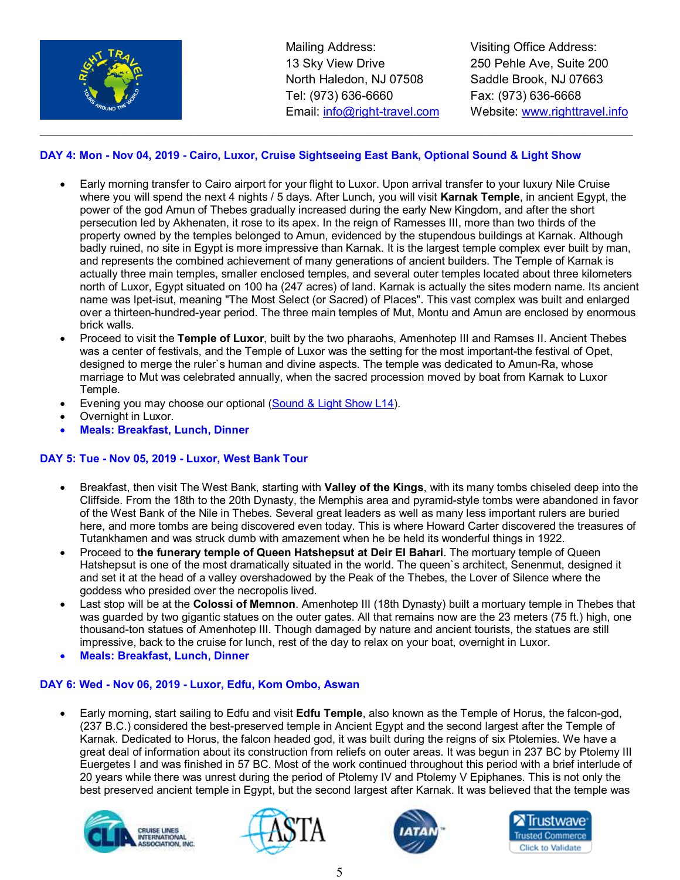

Visiting Office Address: 250 Pehle Ave, Suite 200 Saddle Brook, NJ 07663 Fax: (973) 636-6668 Website: www.righttravel.info

### **DAY 4: Mon - Nov 04, 2019 - Cairo, Luxor, Cruise Sightseeing East Bank, Optional Sound & Light Show**

 $\_$  , and the set of the set of the set of the set of the set of the set of the set of the set of the set of the set of the set of the set of the set of the set of the set of the set of the set of the set of the set of th

- Early morning transfer to Cairo airport for your flight to Luxor. Upon arrival transfer to your luxury Nile Cruise where you will spend the next 4 nights / 5 days. After Lunch, you will visit **Karnak Temple**, in ancient Egypt, the power of the god Amun of Thebes gradually increased during the early New Kingdom, and after the short persecution led by Akhenaten, it rose to its apex. In the reign of Ramesses III, more than two thirds of the property owned by the temples belonged to Amun, evidenced by the stupendous buildings at Karnak. Although badly ruined, no site in Egypt is more impressive than Karnak. It is the largest temple complex ever built by man, and represents the combined achievement of many generations of ancient builders. The Temple of Karnak is actually three main temples, smaller enclosed temples, and several outer temples located about three kilometers north of Luxor, Egypt situated on 100 ha (247 acres) of land. Karnak is actually the sites modern name. Its ancient name was Ipet-isut, meaning "The Most Select (or Sacred) of Places". This vast complex was built and enlarged over a thirteen-hundred-year period. The three main temples of Mut, Montu and Amun are enclosed by enormous brick walls.
- Proceed to visit the **Temple of Luxor**, built by the two pharaohs, Amenhotep III and Ramses II. Ancient Thebes was a center of festivals, and the Temple of Luxor was the setting for the most important-the festival of Opet, designed to merge the ruler`s human and divine aspects. The temple was dedicated to Amun-Ra, whose marriage to Mut was celebrated annually, when the sacred procession moved by boat from Karnak to Luxor Temple.
- Evening you may choose our optional (Sound & Light Show L14).
- Overnight in Luxor.
- **Meals: Breakfast, Lunch, Dinner**

#### **DAY 5: Tue - Nov 05, 2019 - Luxor, West Bank Tour**

- Breakfast, then visit The West Bank, starting with **Valley of the Kings**, with its many tombs chiseled deep into the Cliffside. From the 18th to the 20th Dynasty, the Memphis area and pyramid-style tombs were abandoned in favor of the West Bank of the Nile in Thebes. Several great leaders as well as many less important rulers are buried here, and more tombs are being discovered even today. This is where Howard Carter discovered the treasures of Tutankhamen and was struck dumb with amazement when he be held its wonderful things in 1922.
- Proceed to **the funerary temple of Queen Hatshepsut at Deir El Bahari**. The mortuary temple of Queen Hatshepsut is one of the most dramatically situated in the world. The queen`s architect, Senenmut, designed it and set it at the head of a valley overshadowed by the Peak of the Thebes, the Lover of Silence where the goddess who presided over the necropolis lived.
- Last stop will be at the **Colossi of Memnon**. Amenhotep III (18th Dynasty) built a mortuary temple in Thebes that was guarded by two gigantic statues on the outer gates. All that remains now are the 23 meters (75 ft.) high, one thousand-ton statues of Amenhotep III. Though damaged by nature and ancient tourists, the statues are still impressive, back to the cruise for lunch, rest of the day to relax on your boat, overnight in Luxor.
- **Meals: Breakfast, Lunch, Dinner**

#### **DAY 6: Wed - Nov 06, 2019 - Luxor, Edfu, Kom Ombo, Aswan**

• Early morning, start sailing to Edfu and visit **Edfu Temple**, also known as the Temple of Horus, the falcon-god, (237 B.C.) considered the best-preserved temple in Ancient Egypt and the second largest after the Temple of Karnak. Dedicated to Horus, the falcon headed god, it was built during the reigns of six Ptolemies. We have a great deal of information about its construction from reliefs on outer areas. It was begun in 237 BC by Ptolemy III Euergetes I and was finished in 57 BC. Most of the work continued throughout this period with a brief interlude of 20 years while there was unrest during the period of Ptolemy IV and Ptolemy V Epiphanes. This is not only the best preserved ancient temple in Egypt, but the second largest after Karnak. It was believed that the temple was







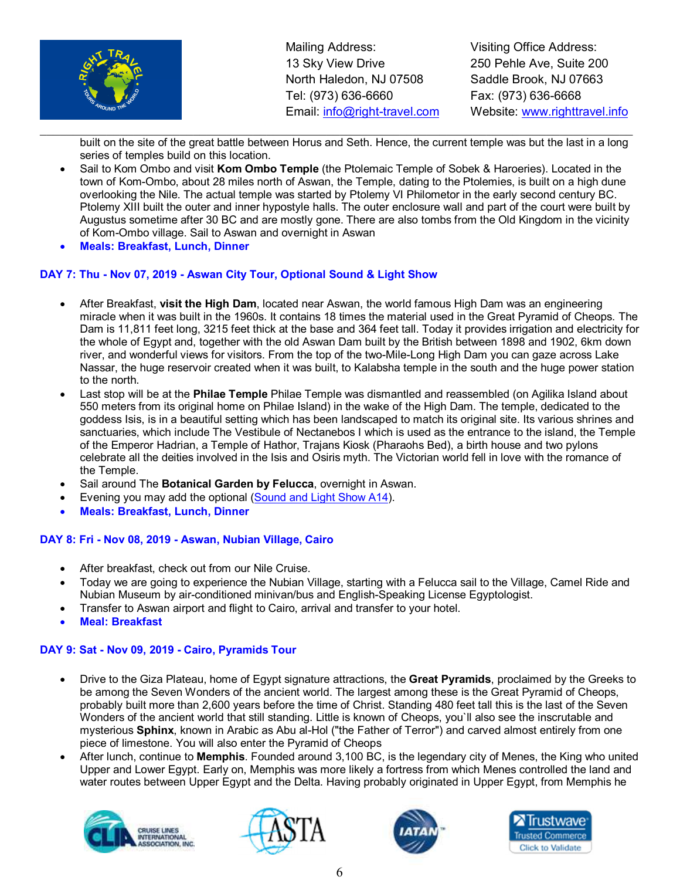

Visiting Office Address: 250 Pehle Ave, Suite 200 Saddle Brook, NJ 07663 Fax: (973) 636-6668 Website: www.righttravel.info

 $\_$  , and the set of the set of the set of the set of the set of the set of the set of the set of the set of the set of the set of the set of the set of the set of the set of the set of the set of the set of the set of th built on the site of the great battle between Horus and Seth. Hence, the current temple was but the last in a long series of temples build on this location.

- Sail to Kom Ombo and visit **Kom Ombo Temple** (the Ptolemaic Temple of Sobek & Haroeries). Located in the town of Kom-Ombo, about 28 miles north of Aswan, the Temple, dating to the Ptolemies, is built on a high dune overlooking the Nile. The actual temple was started by Ptolemy VI Philometor in the early second century BC. Ptolemy XIII built the outer and inner hypostyle halls. The outer enclosure wall and part of the court were built by Augustus sometime after 30 BC and are mostly gone. There are also tombs from the Old Kingdom in the vicinity of Kom-Ombo village. Sail to Aswan and overnight in Aswan
- **Meals: Breakfast, Lunch, Dinner**

#### **DAY 7: Thu - Nov 07, 2019 - Aswan City Tour, Optional Sound & Light Show**

- After Breakfast, **visit the High Dam**, located near Aswan, the world famous High Dam was an engineering miracle when it was built in the 1960s. It contains 18 times the material used in the Great Pyramid of Cheops. The Dam is 11,811 feet long, 3215 feet thick at the base and 364 feet tall. Today it provides irrigation and electricity for the whole of Egypt and, together with the old Aswan Dam built by the British between 1898 and 1902, 6km down river, and wonderful views for visitors. From the top of the two-Mile-Long High Dam you can gaze across Lake Nassar, the huge reservoir created when it was built, to Kalabsha temple in the south and the huge power station to the north.
- Last stop will be at the **Philae Temple** Philae Temple was dismantled and reassembled (on Agilika Island about 550 meters from its original home on Philae Island) in the wake of the High Dam. The temple, dedicated to the goddess Isis, is in a beautiful setting which has been landscaped to match its original site. Its various shrines and sanctuaries, which include The Vestibule of Nectanebos I which is used as the entrance to the island, the Temple of the Emperor Hadrian, a Temple of Hathor, Trajans Kiosk (Pharaohs Bed), a birth house and two pylons celebrate all the deities involved in the Isis and Osiris myth. The Victorian world fell in love with the romance of the Temple.
- Sail around The **Botanical Garden by Felucca**, overnight in Aswan.
- Evening you may add the optional (Sound and Light Show A14).
- **Meals: Breakfast, Lunch, Dinner**

#### **DAY 8: Fri - Nov 08, 2019 - Aswan, Nubian Village, Cairo**

- After breakfast, check out from our Nile Cruise.
- Today we are going to experience the Nubian Village, starting with a Felucca sail to the Village, Camel Ride and Nubian Museum by air-conditioned minivan/bus and English-Speaking License Egyptologist.
- Transfer to Aswan airport and flight to Cairo, arrival and transfer to your hotel.
- **Meal: Breakfast**

#### **DAY 9: Sat - Nov 09, 2019 - Cairo, Pyramids Tour**

- Drive to the Giza Plateau, home of Egypt signature attractions, the **Great Pyramids**, proclaimed by the Greeks to be among the Seven Wonders of the ancient world. The largest among these is the Great Pyramid of Cheops, probably built more than 2,600 years before the time of Christ. Standing 480 feet tall this is the last of the Seven Wonders of the ancient world that still standing. Little is known of Cheops, you`ll also see the inscrutable and mysterious **Sphinx**, known in Arabic as Abu al-Hol ("the Father of Terror") and carved almost entirely from one piece of limestone. You will also enter the Pyramid of Cheops
- After lunch, continue to **Memphis**. Founded around 3,100 BC, is the legendary city of Menes, the King who united Upper and Lower Egypt. Early on, Memphis was more likely a fortress from which Menes controlled the land and water routes between Upper Egypt and the Delta. Having probably originated in Upper Egypt, from Memphis he







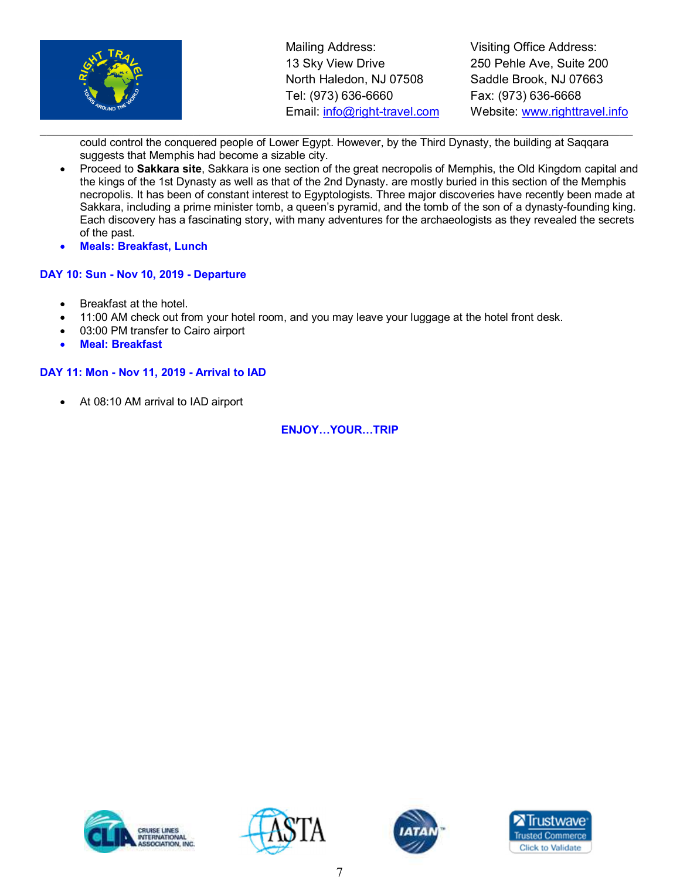

Visiting Office Address: 250 Pehle Ave, Suite 200 Saddle Brook, NJ 07663 Fax: (973) 636-6668 Website: www.righttravel.info

 $\_$  , and the set of the set of the set of the set of the set of the set of the set of the set of the set of the set of the set of the set of the set of the set of the set of the set of the set of the set of the set of th could control the conquered people of Lower Egypt. However, by the Third Dynasty, the building at Saqqara suggests that Memphis had become a sizable city.

- Proceed to **Sakkara site**, Sakkara is one section of the great necropolis of Memphis, the Old Kingdom capital and the kings of the 1st Dynasty as well as that of the 2nd Dynasty. are mostly buried in this section of the Memphis necropolis. It has been of constant interest to Egyptologists. Three major discoveries have recently been made at Sakkara, including a prime minister tomb, a queen's pyramid, and the tomb of the son of a dynasty-founding king. Each discovery has a fascinating story, with many adventures for the archaeologists as they revealed the secrets of the past.
- **Meals: Breakfast, Lunch**

#### **DAY 10: Sun - Nov 10, 2019 - Departure**

- Breakfast at the hotel.
- 11:00 AM check out from your hotel room, and you may leave your luggage at the hotel front desk.
- 03:00 PM transfer to Cairo airport
- **Meal: Breakfast**

#### **DAY 11: Mon - Nov 11, 2019 - Arrival to IAD**

• At 08:10 AM arrival to IAD airport

#### **ENJOY...YOUR...TRIP**